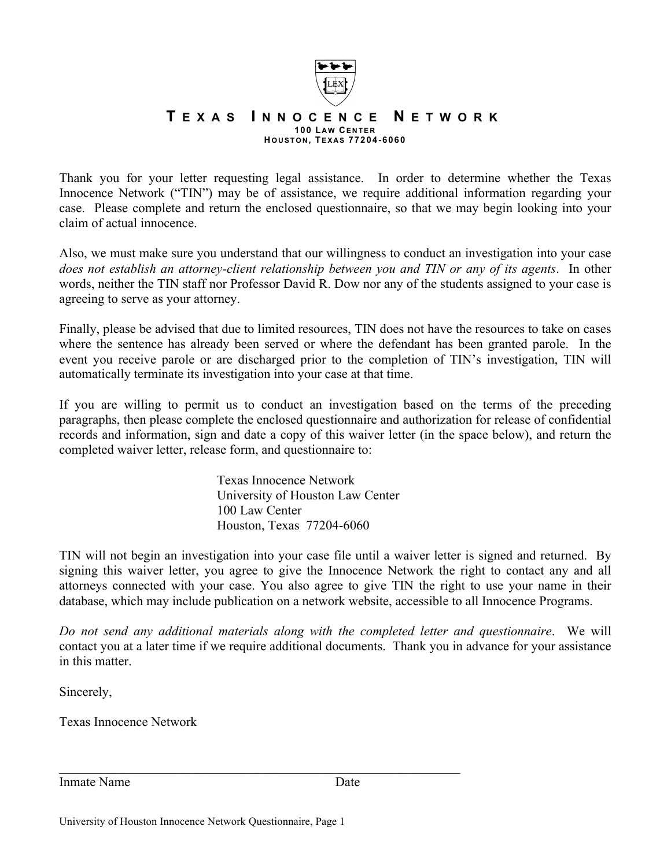

## **T EXAS I NNOCENCE N ETWORK 100 L AW CENTER H OUSTON , TEXAS 77204-6060**

Thank you for your letter requesting legal assistance. In order to determine whether the Texas Innocence Network ("TIN") may be of assistance, we require additional information regarding your case. Please complete and return the enclosed questionnaire, so that we may begin looking into your claim of actual innocence.

Also, we must make sure you understand that our willingness to conduct an investigation into your case *does not establish an attorney-client relationship between you and TIN or any of its agents*. In other words, neither the TIN staff nor Professor David R. Dow nor any of the students assigned to your case is agreeing to serve as your attorney.

Finally, please be advised that due to limited resources, TIN does not have the resources to take on cases where the sentence has already been served or where the defendant has been granted parole. In the event you receive parole or are discharged prior to the completion of TIN's investigation, TIN will automatically terminate its investigation into your case at that time.

If you are willing to permit us to conduct an investigation based on the terms of the preceding paragraphs, then please complete the enclosed questionnaire and authorization for release of confidential records and information, sign and date a copy of this waiver letter (in the space below), and return the completed waiver letter, release form, and questionnaire to:

> Texas Innocence Network University of Houston Law Center 100 Law Center Houston, Texas 77204-6060

TIN will not begin an investigation into your case file until a waiver letter is signed and returned. By signing this waiver letter, you agree to give the Innocence Network the right to contact any and all attorneys connected with your case. You also agree to give TIN the right to use your name in their database, which may include publication on a network website, accessible to all Innocence Programs.

*Do not send any additional materials along with the completed letter and questionnaire*. We will contact you at a later time if we require additional documents. Thank you in advance for your assistance in this matter.

Sincerely,

Texas Innocence Network

Inmate Name **Date** 

 $\mathcal{L}_\text{max}$  , and the contribution of the contribution of the contribution of the contribution of the contribution of the contribution of the contribution of the contribution of the contribution of the contribution of t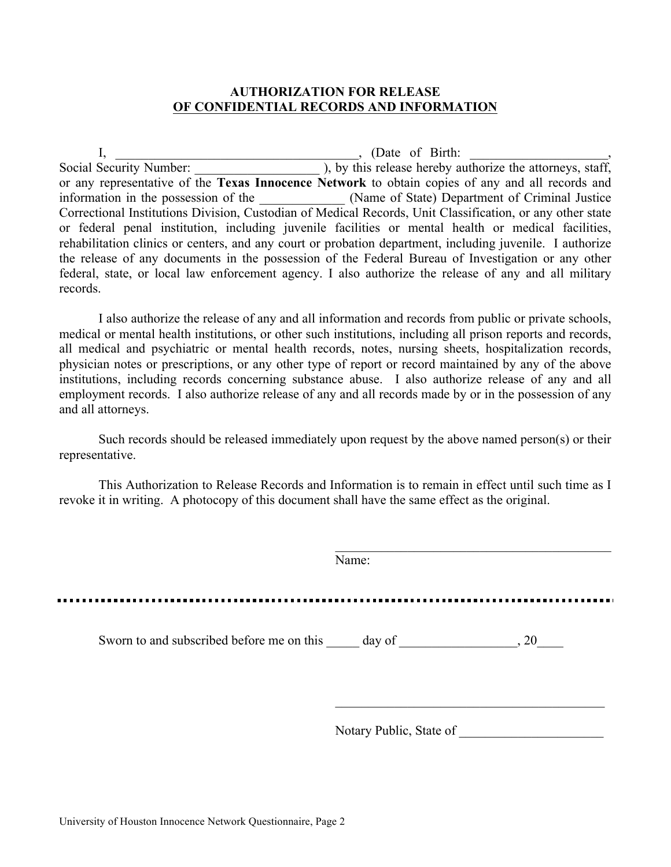## **AUTHORIZATION FOR RELEASE OF CONFIDENTIAL RECORDS AND INFORMATION**

I, Chate of Birth: Social Security Number: <br>Social Security Number:  $\qquad \qquad$  ), by this release hereby au ), by this release hereby authorize the attorneys, staff, or any representative of the **Texas Innocence Network** to obtain copies of any and all records and information in the possession of the  $\qquad \qquad$  (Name of State) Department of Criminal Justice Correctional Institutions Division, Custodian of Medical Records, Unit Classification, or any other state or federal penal institution, including juvenile facilities or mental health or medical facilities, rehabilitation clinics or centers, and any court or probation department, including juvenile. I authorize the release of any documents in the possession of the Federal Bureau of Investigation or any other federal, state, or local law enforcement agency. I also authorize the release of any and all military records.

I also authorize the release of any and all information and records from public or private schools, medical or mental health institutions, or other such institutions, including all prison reports and records, all medical and psychiatric or mental health records, notes, nursing sheets, hospitalization records, physician notes or prescriptions, or any other type of report or record maintained by any of the above institutions, including records concerning substance abuse. I also authorize release of any and all employment records. I also authorize release of any and all records made by or in the possession of any and all attorneys.

Such records should be released immediately upon request by the above named person(s) or their representative.

This Authorization to Release Records and Information is to remain in effect until such time as I revoke it in writing. A photocopy of this document shall have the same effect as the original.

| Name:                   |  |
|-------------------------|--|
|                         |  |
| Notary Public, State of |  |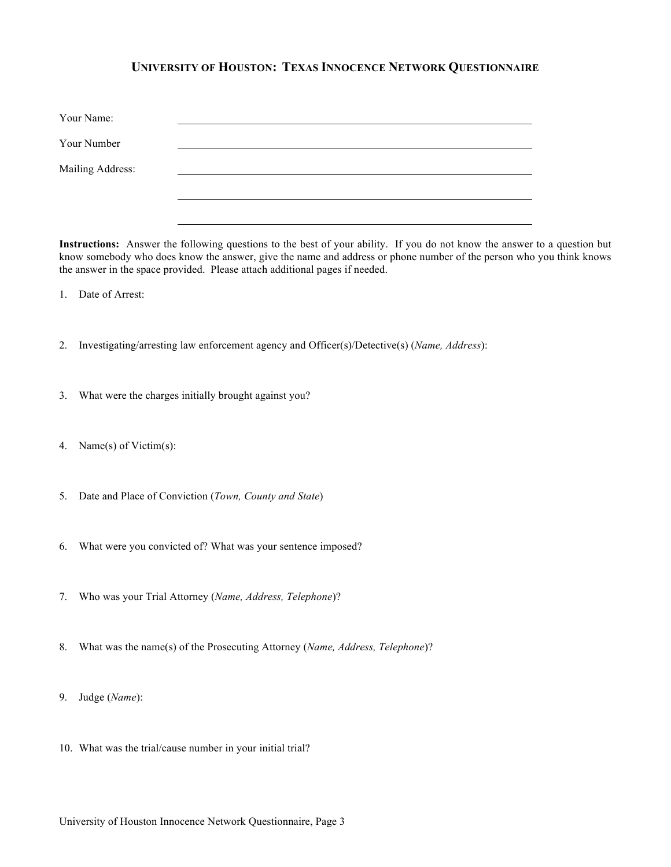## **UNIVERSITY OF HOUSTON: TEXAS INNOCENCE NETWORK QUESTIONNAIRE**

| Your Name:       |  |
|------------------|--|
| Your Number      |  |
| Mailing Address: |  |
|                  |  |

**Instructions:** Answer the following questions to the best of your ability. If you do not know the answer to a question but know somebody who does know the answer, give the name and address or phone number of the person who you think knows the answer in the space provided. Please attach additional pages if needed.

1. Date of Arrest:

- 2. Investigating/arresting law enforcement agency and Officer(s)/Detective(s) (*Name, Address*):
- 3. What were the charges initially brought against you?
- 4. Name(s) of Victim(s):
- 5. Date and Place of Conviction (*Town, County and State*)
- 6. What were you convicted of? What was your sentence imposed?
- 7. Who was your Trial Attorney (*Name, Address, Telephone*)?
- 8. What was the name(s) of the Prosecuting Attorney (*Name, Address, Telephone*)?
- 9. Judge (*Name*):
- 10. What was the trial/cause number in your initial trial?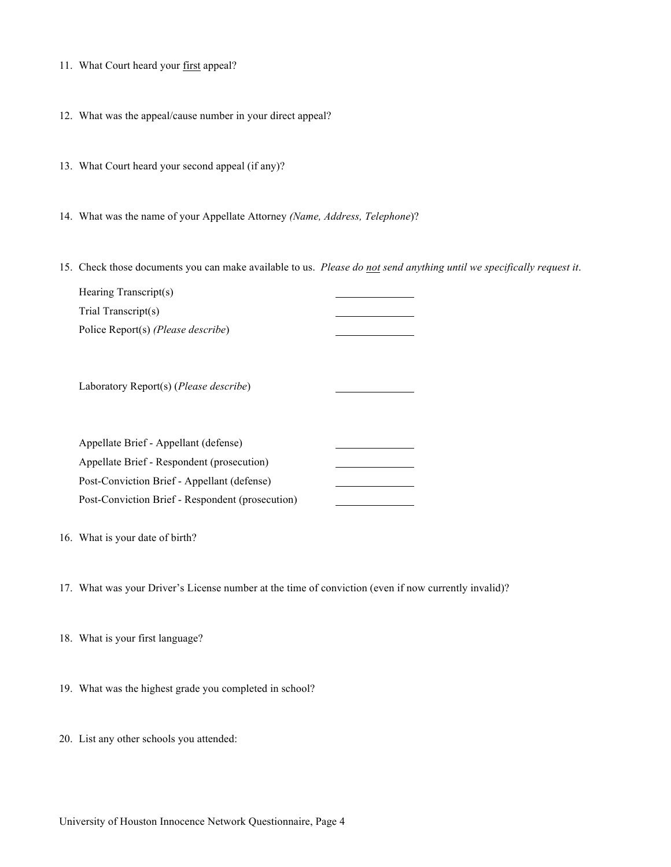- 11. What Court heard your first appeal?
- 12. What was the appeal/cause number in your direct appeal?
- 13. What Court heard your second appeal (if any)?
- 14. What was the name of your Appellate Attorney *(Name, Address, Telephone*)?
- 15. Check those documents you can make available to us. *Please do not send anything until we specifically request it*.

| Hearing Transcript(s)                       |  |
|---------------------------------------------|--|
| Trial Transcript(s)                         |  |
| Police Report(s) ( <i>Please describe</i> ) |  |
|                                             |  |

Laboratory Report(s) (*Please describe*)

| Appellate Brief - Appellant (defense)            |  |
|--------------------------------------------------|--|
| Appellate Brief - Respondent (prosecution)       |  |
| Post-Conviction Brief - Appellant (defense)      |  |
| Post-Conviction Brief - Respondent (prosecution) |  |

- 16. What is your date of birth?
- 17. What was your Driver's License number at the time of conviction (even if now currently invalid)?
- 18. What is your first language?
- 19. What was the highest grade you completed in school?
- 20. List any other schools you attended: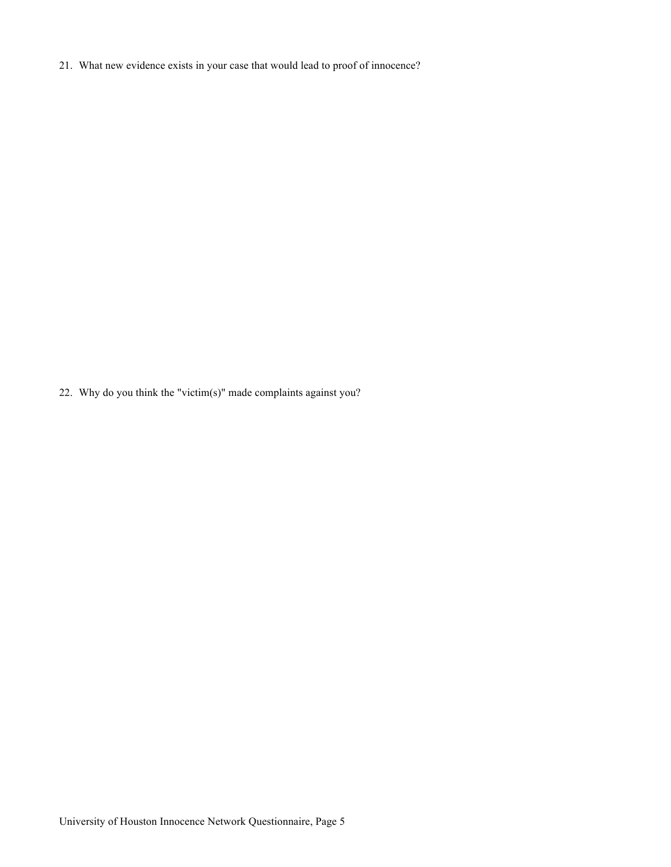21. What new evidence exists in your case that would lead to proof of innocence?

22. Why do you think the "victim(s)" made complaints against you?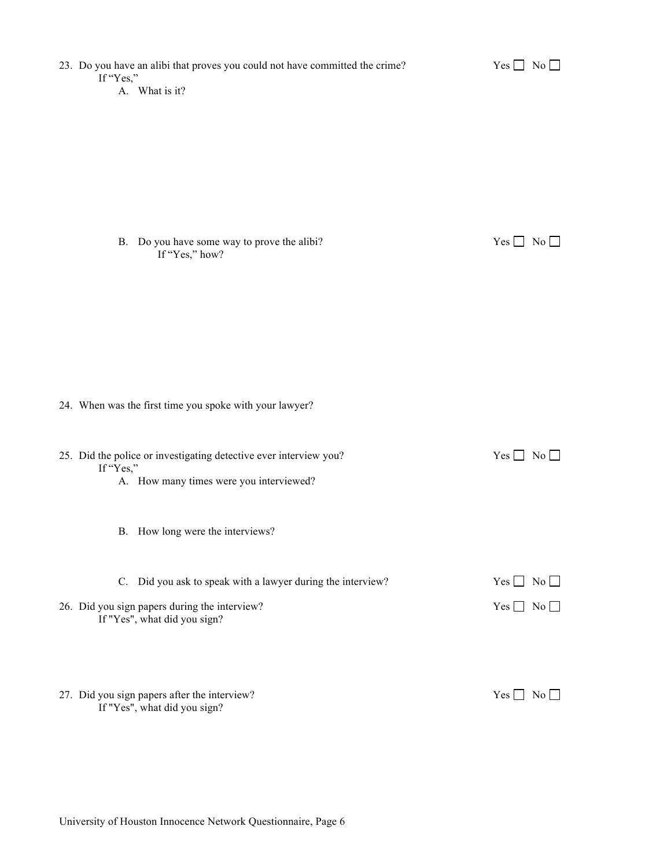| 23. Do you have an alibi that proves you could not have committed the crime?<br>If "Yes,"<br>A. What is it?                                  | $Yes \Box No \Box$                       |
|----------------------------------------------------------------------------------------------------------------------------------------------|------------------------------------------|
| B. Do you have some way to prove the alibi?<br>If "Yes," how?                                                                                | $Yes \Box No \Box$                       |
| 24. When was the first time you spoke with your lawyer?                                                                                      |                                          |
| 25. Did the police or investigating detective ever interview you?<br>If "Yes,"<br>A. How many times were you interviewed?                    | $Yes \Box No \Box$                       |
| B. How long were the interviews?                                                                                                             |                                          |
| C. Did you ask to speak with a lawyer during the interview?<br>26. Did you sign papers during the interview?<br>If "Yes", what did you sign? | $Yes \Box No \Box$<br>$Yes \Box No \Box$ |
| 27. Did you sign papers after the interview?<br>If "Yes", what did you sign?                                                                 | $Yes \Box No \Box$                       |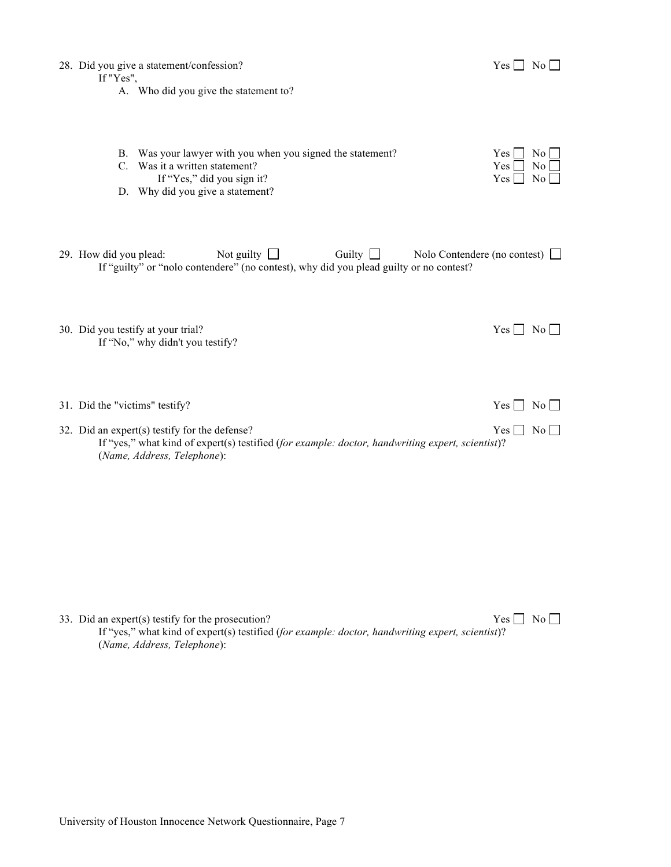28. Did you give a statement/confession?  $Yes \Box No \Box$ 

If "Yes",

- A. Who did you give the statement to?
- B. Was your lawyer with you when you signed the statement?
- C. Was it a written statement?
- If "Yes," did you sign it?
- D. Why did you give a statement?

| Yes l | Nο |
|-------|----|
| Yes l | Nο |
| Yes   |    |

| 29. How did you plead:                                                                 | Not guilty $\Box$ | Guilty $\Box$ | Nolo Contendere (no contest) $\Box$ |
|----------------------------------------------------------------------------------------|-------------------|---------------|-------------------------------------|
| If "guilty" or "nolo contendere" (no contest), why did you plead guilty or no contest? |                   |               |                                     |

30. Did you testify at your trial?  $Yes \Box No \Box$ If "No," why didn't you testify?

| 31. Did the "victims" testify?                                                                                                  | $Yes \nightharpoonup No \nightharpoonup$ |  |
|---------------------------------------------------------------------------------------------------------------------------------|------------------------------------------|--|
| 32. Did an expert(s) testify for the defense?                                                                                   | $Yes \tNo \t$                            |  |
| If "yes," what kind of expert(s) testified (for example: doctor, handwriting expert, scientist)?<br>(Name, Address, Telephone): |                                          |  |
|                                                                                                                                 |                                          |  |

33. Did an expert(s) testify for the prosecution?  $\text{Yes} \square \text{No} \square$ If "yes," what kind of expert(s) testified (*for example: doctor, handwriting expert, scientist*)? (*Name, Address, Telephone*):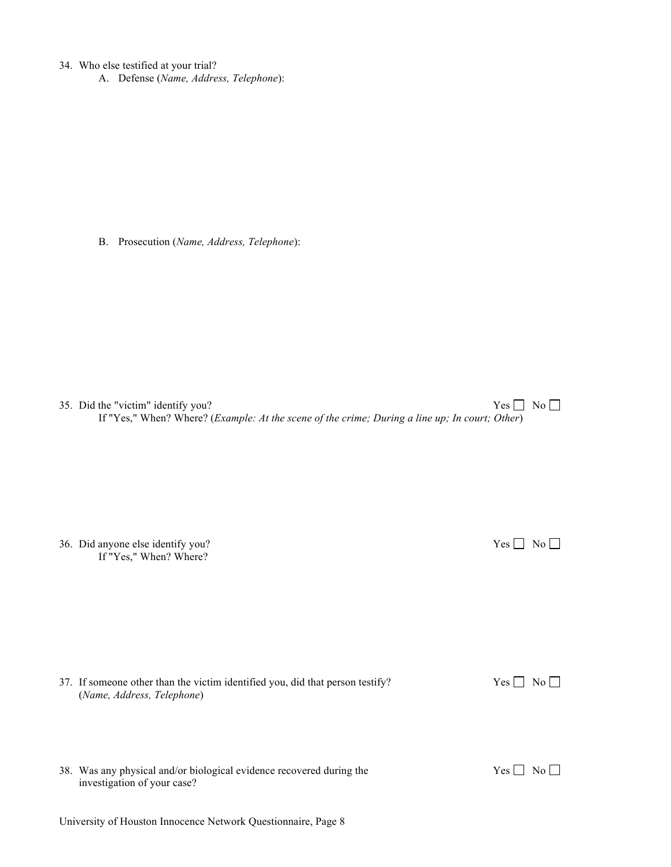34. Who else testified at your trial?

A. Defense (*Name, Address, Telephone*):

B. Prosecution (*Name, Address, Telephone*):

35. Did the "victim" identify you?  $\text{Yes} \square \text{No} \square$ If "Yes," When? Where? (*Example: At the scene of the crime; During a line up; In court; Other*)

36. Did anyone else identify you?  $\text{Yes} \square \text{No} \square$ If "Yes," When? Where?

37. If someone other than the victim identified you, did that person testify? Yes  $\Box$  No  $\Box$ (*Name, Address, Telephone*)

| 38. Was any physical and/or biological evidence recovered during the |
|----------------------------------------------------------------------|
| investigation of your case?                                          |

University of Houston Innocence Network Questionnaire, Page 8

 $Yes \Box No \Box$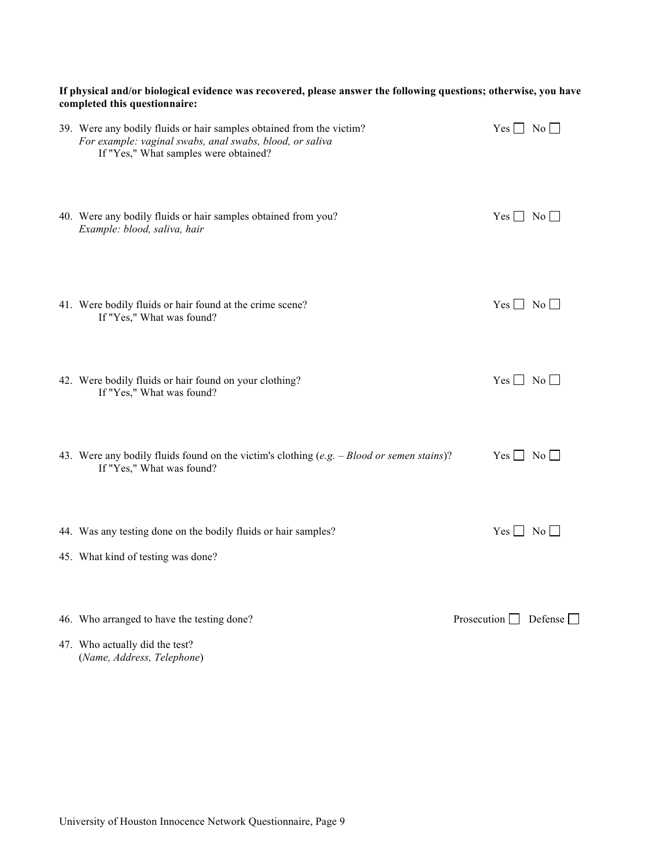## **If physical and/or biological evidence was recovered, please answer the following questions; otherwise, you have completed this questionnaire:**

| 39. Were any bodily fluids or hair samples obtained from the victim?<br>For example: vaginal swabs, anal swabs, blood, or saliva<br>If "Yes," What samples were obtained? | $Yes \Box No \Box$                |
|---------------------------------------------------------------------------------------------------------------------------------------------------------------------------|-----------------------------------|
| 40. Were any bodily fluids or hair samples obtained from you?<br>Example: blood, saliva, hair                                                                             | $Yes \Box No \Box$                |
| 41. Were bodily fluids or hair found at the crime scene?<br>If "Yes," What was found?                                                                                     | $Yes \Box No \Box$                |
| 42. Were bodily fluids or hair found on your clothing?<br>If "Yes," What was found?                                                                                       | $Yes \Box No \Box$                |
| 43. Were any bodily fluids found on the victim's clothing (e.g. - Blood or semen stains)?<br>If "Yes," What was found?                                                    | $Yes \Box No \Box$                |
| 44. Was any testing done on the bodily fluids or hair samples?                                                                                                            | $Yes \Box No \Box$                |
| 45. What kind of testing was done?                                                                                                                                        |                                   |
| 46. Who arranged to have the testing done?                                                                                                                                | Prosecution $\Box$ Defense $\Box$ |
| 47. Who actually did the test?<br>(Name, Address, Telephone)                                                                                                              |                                   |